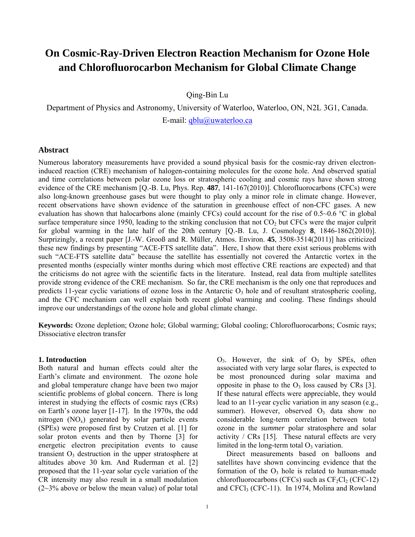# **On Cosmic-Ray-Driven Electron Reaction Mechanism for Ozone Hole and Chlorofluorocarbon Mechanism for Global Climate Change**

Qing-Bin Lu

Department of Physics and Astronomy, University of Waterloo, Waterloo, ON, N2L 3G1, Canada. E-mail: qblu@uwaterloo.ca

#### **Abstract**

Numerous laboratory measurements have provided a sound physical basis for the cosmic-ray driven electroninduced reaction (CRE) mechanism of halogen-containing molecules for the ozone hole. And observed spatial and time correlations between polar ozone loss or stratospheric cooling and cosmic rays have shown strong evidence of the CRE mechanism [Q.-B. Lu, Phys. Rep. **487**, 141-167(2010)]. Chlorofluorocarbons (CFCs) were also long-known greenhouse gases but were thought to play only a minor role in climate change. However, recent observations have shown evidence of the saturation in greenhouse effect of non-CFC gases. A new evaluation has shown that halocarbons alone (mainly CFCs) could account for the rise of 0.5~0.6 °C in global surface temperature since 1950, leading to the striking conclusion that not  $CO<sub>2</sub>$  but CFCs were the major culprit for global warming in the late half of the 20th century [Q.-B. Lu, J. Cosmology **8**, 1846-1862(2010)]. Surprizingly, a recent paper [J.-W. Grooß and R. Müller, Atmos. Environ. **45**, 3508-3514(2011)] has criticized these new findings by presenting "ACE-FTS satellite data". Here, I show that there exist serious problems with such "ACE-FTS satellite data" because the satellite has essentially not covered the Antarctic vortex in the presented months (especially winter months during which most effective CRE reactions are expected) and that the criticisms do not agree with the scientific facts in the literature. Instead, real data from multiple satellites provide strong evidence of the CRE mechanism. So far, the CRE mechanism is the only one that reproduces and predicts 11-year cyclic variations of ozone loss in the Antarctic  $O<sub>3</sub>$  hole and of resultant stratospheric cooling, and the CFC mechanism can well explain both recent global warming and cooling. These findings should improve our understandings of the ozone hole and global climate change.

**Keywords:** Ozone depletion; Ozone hole; Global warming; Global cooling; Chlorofluorocarbons; Cosmic rays; Dissociative electron transfer

#### **1. Introduction**

Both natural and human effects could alter the Earth's climate and environment. The ozone hole and global temperature change have been two major scientific problems of global concern. There is long interest in studying the effects of cosmic rays (CRs) on Earth's ozone layer [1-17]. In the 1970s, the odd nitrogen  $(NO_x)$  generated by solar particle events (SPEs) were proposed first by Crutzen et al. [1] for solar proton events and then by Thorne [3] for energetic electron precipitation events to cause transient  $O<sub>3</sub>$  destruction in the upper stratosphere at altitudes above 30 km. And Ruderman et al. [2] proposed that the 11-year solar cycle variation of the CR intensity may also result in a small modulation  $(2~3%$  above or below the mean value) of polar total  $O_3$ . However, the sink of  $O_3$  by SPEs, often associated with very large solar flares, is expected to be most pronounced during solar maxima and opposite in phase to the  $O_3$  loss caused by CRs [3]. If these natural effects were appreciable, they would lead to an 11-year cyclic variation in any season (e.g., summer). However, observed  $O_3$  data show no considerable long-term correlation between total ozone in the *summer* polar stratosphere and solar activity / CRs [15]. These natural effects are very limited in the long-term total  $O_3$  variation.

 Direct measurements based on balloons and satellites have shown convincing evidence that the formation of the  $O_3$  hole is related to human-made chlorofluorocarbons (CFCs) such as  $CF_2Cl_2$  (CFC-12) and CFCl3 (CFC-11). In 1974, Molina and Rowland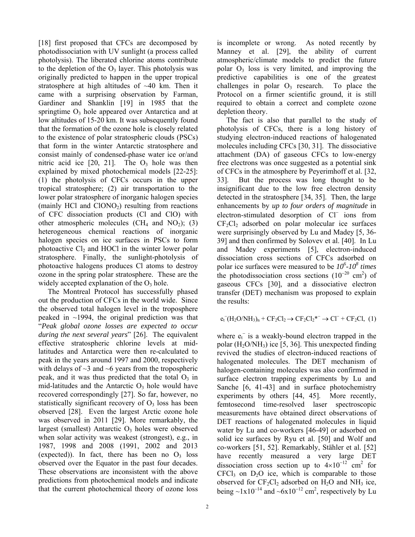[18] first proposed that CFCs are decomposed by photodissociation with UV sunlight (a process called photolysis). The liberated chlorine atoms contribute to the depletion of the  $O_3$  layer. This photolysis was originally predicted to happen in the upper tropical stratosphere at high altitudes of ~40 km. Then it came with a surprising observation by Farman, Gardiner and Shanklin [19] in 1985 that the springtime  $O_3$  hole appeared over Antarctica and at low altitudes of 15-20 km. It was subsequently found that the formation of the ozone hole is closely related to the existence of polar stratospheric clouds (PSCs) that form in the winter Antarctic stratosphere and consist mainly of condensed-phase water ice or/and nitric acid ice  $[20, 21]$ . The  $O_3$  hole was then explained by mixed photochemical models [22-25]: (1) the photolysis of CFCs occurs in the upper tropical stratosphere; (2) air transportation to the lower polar stratosphere of inorganic halogen species (mainly HCl and  $ClONO<sub>2</sub>$ ) resulting from reactions of CFC dissociation products (Cl and ClO) with other atmospheric molecules  $(CH_4 \text{ and } NO_2)$ ; (3) heterogeneous chemical reactions of inorganic halogen species on ice surfaces in PSCs to form photoactive  $Cl<sub>2</sub>$  and HOCl in the winter lower polar stratosphere. Finally, the sunlight-photolysis of photoactive halogens produces Cl atoms to destroy ozone in the spring polar stratosphere. These are the widely accepted explanation of the  $O_3$  hole.

 The Montreal Protocol has successfully phased out the production of CFCs in the world wide. Since the observed total halogen level in the troposphere peaked in  $\sim$ 1994, the original prediction was that "*Peak global ozone losses are expected to occur during the next several years*" [26]. The equivalent effective stratospheric chlorine levels at midlatitudes and Antarctica were then re-calculated to peak in the years around 1997 and 2000, respectively with delays of  $\sim$ 3 and  $\sim$ 6 years from the tropospheric peak, and it was thus predicted that the total  $O_3$  in mid-latitudes and the Antarctic  $O_3$  hole would have recovered correspondingly [27]. So far, however, no statistically significant recovery of  $O<sub>3</sub>$  loss has been observed [28]. Even the largest Arctic ozone hole was observed in 2011 [29]. More remarkably, the largest (smallest) Antarctic  $O<sub>3</sub>$  holes were observed when solar activity was weakest (strongest), e.g., in 1987, 1998 and 2008 (1991, 2002 and 2013 (expected)). In fact, there has been no  $O<sub>3</sub>$  loss observed over the Equator in the past four decades. These observations are inconsistent with the above predictions from photochemical models and indicate that the current photochemical theory of ozone loss

is incomplete or wrong. As noted recently by Manney et al. [29], the ability of current atmospheric/climate models to predict the future polar  $O_3$  loss is very limited, and improving the predictive capabilities is one of the greatest challenges in polar  $O_3$  research. To place the Protocol on a firmer scientific ground, it is still required to obtain a correct and complete ozone depletion theory.

 The fact is also that parallel to the study of photolysis of CFCs, there is a long history of studying electron-induced reactions of halogenated molecules including CFCs [30, 31]. The dissociative attachment (DA) of gaseous CFCs to low-energy free electrons was once suggested as a potential sink of CFCs in the atmosphere by Peyerimhoff et al. [32, 33]. But the process was long thought to be insignificant due to the low free electron density detected in the stratosphere [34, 35]. Then, the large enhancements by *up to four orders of magnitude* in electron-stimulated desorption of Cl ions from  $CF<sub>2</sub>Cl<sub>2</sub>$  adsorbed on polar molecular ice surfaces were surprisingly observed by Lu and Madey [5, 36- 39] and then confirmed by Solovev et al. [40]. In Lu and Madey experiments [5], electron-induced dissociation cross sections of CFCs adsorbed on polar ice surfaces were measured to be *10<sup>6</sup> -108 times* the photodissociation cross sections  $(10^{-20} \text{ cm}^2)$  of gaseous CFCs [30], and a dissociative electron transfer (DET) mechanism was proposed to explain the results:

$$
e_t^-(H_2O/NH_3)_n + CF_2Cl_2 \rightarrow CF_2Cl_2^{*-} \rightarrow Cl^- + CF_2Cl, (1)
$$

where  $e_t^-$  is a weakly-bound electron trapped in the polar  $(H_2O/NH_3)$  ice [5, 36]. This unexpected finding revived the studies of electron-induced reactions of halogenated molecules. The DET mechanism of halogen-containing molecules was also confirmed in surface electron trapping experiments by Lu and Sanche [6, 41-43] and in surface photochemistry experiments by others [44, 45]. More recently, femtosecond time-resolved laser spectroscopic measurements have obtained direct observations of DET reactions of halogenated molecules in liquid water by Lu and co-workers [46-49] or adsorbed on solid ice surfaces by Ryu et al. [50] and Wolf and co-workers [51, 52]. Remarkably, Stähler et al. [52] have recently measured a very large DET dissociation cross section up to  $4\times10^{-12}$  cm<sup>2</sup> for  $CFCI<sub>3</sub>$  on  $D<sub>2</sub>O$  ice, which is comparable to those observed for  $CF_2Cl_2$  adsorbed on  $H_2O$  and  $NH_3$  ice, being  $\sim 1 \times 10^{-14}$  and  $\sim 6 \times 10^{-12}$  cm<sup>2</sup>, respectively by Lu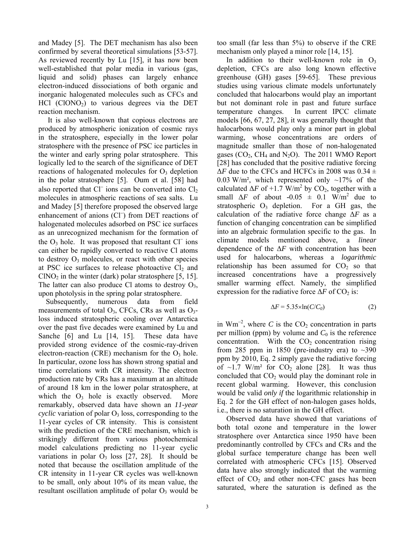and Madey [5]. The DET mechanism has also been confirmed by several theoretical simulations [53-57]. As reviewed recently by Lu [15], it has now been well-established that polar media in various (gas, liquid and solid) phases can largely enhance electron-induced dissociations of both organic and inorganic halogenated molecules such as CFCs and  $HC1$  (ClONO<sub>2</sub>) to various degrees via the DET reaction mechanism.

 It is also well-known that copious electrons are produced by atmospheric ionization of cosmic rays in the stratosphere, especially in the lower polar stratosphere with the presence of PSC ice particles in the winter and early spring polar stratosphere. This logically led to the search of the significance of DET reactions of halogenated molecules for  $O<sub>3</sub>$  depletion in the polar stratosphere [5]. Oum et al. [58] had also reported that  $Cl^-$  ions can be converted into  $Cl_2$ molecules in atmospheric reactions of sea salts. Lu and Madey [5] therefore proposed the observed large enhancement of anions (Cl ) from DET reactions of halogenated molecules adsorbed on PSC ice surfaces as an unrecognized mechanism for the formation of the  $O_3$  hole. It was proposed that resultant  $Cl^-$  ions can either be rapidly converted to reactive Cl atoms to destroy  $O_3$  molecules, or react with other species at PSC ice surfaces to release photoactive  $Cl<sub>2</sub>$  and  $CINO<sub>2</sub>$  in the winter (dark) polar stratosphere [5, 15]. The latter can also produce Cl atoms to destroy  $O_3$ , upon photolysis in the spring polar stratosphere.

 Subsequently, numerous data from field measurements of total  $O_3$ , CFCs, CRs as well as  $O_3$ loss induced stratospheric cooling over Antarctica over the past five decades were examined by Lu and Sanche [6] and Lu [14, 15]. These data have provided strong evidence of the cosmic-ray-driven electron-reaction (CRE) mechanism for the  $O_3$  hole. In particular, ozone loss has shown strong spatial and time correlations with CR intensity. The electron production rate by CRs has a maximum at an altitude of around 18 km in the lower polar stratosphere, at which the  $O_3$  hole is exactly observed. More remarkably, observed data have shown an *11-year*   $cyclic$  variation of polar  $O<sub>3</sub>$  loss, corresponding to the 11-year cycles of CR intensity. This is consistent with the prediction of the CRE mechanism, which is strikingly different from various photochemical model calculations predicting no 11-year cyclic variations in polar  $O_3$  loss [27, 28]. It should be noted that because the oscillation amplitude of the CR intensity in 11-year CR cycles was well-known to be small, only about 10% of its mean value, the resultant oscillation amplitude of polar  $O_3$  would be

too small (far less than 5%) to observe if the CRE mechanism only played a minor role [14, 15].

In addition to their well-known role in  $O_3$ depletion, CFCs are also long known effective greenhouse (GH) gases [59-65]. These previous studies using various climate models unfortunately concluded that halocarbons would play an important but not dominant role in past and future surface temperature changes. In current IPCC climate models [66, 67, 27, 28], it was generally thought that halocarbons would play only a minor part in global warming, whose concentrations are orders of magnitude smaller than those of non-halogenated gases  $(CO_2, CH_4 \text{ and } N_2O)$ . The 2011 WMO Report [28] has concluded that the positive radiative forcing  $\Delta F$  due to the CFCs and HCFCs in 2008 was 0.34  $\pm$ 0.03 W/m<sup>2</sup>, which represented only  $\sim$ 17% of the calculated  $\Delta F$  of +1.7 W/m<sup>2</sup> by CO<sub>2</sub>, together with a small  $\Delta F$  of about **-**0.05  $\pm$  0.1 W/m<sup>2</sup> due to stratospheric  $O_3$  depletion. For a GH gas, the calculation of the radiative force change Δ*F* as a function of changing concentration can be simplified into an algebraic formulation specific to the gas. In climate models mentioned above, a *linear* dependence of the Δ*F* with concentration has been used for halocarbons, whereas a *logarithmic* relationship has been assumed for  $CO<sub>2</sub>$  so that increased concentrations have a progressively smaller warming effect. Namely, the simplified expression for the radiative force  $\Delta F$  of CO<sub>2</sub> is:

$$
\Delta F = 5.35 \times \ln(C/C_0) \tag{2}
$$

in  $Wm^{-2}$ , where *C* is the  $CO<sub>2</sub>$  concentration in parts per million (ppm) by volume and  $C_0$  is the reference concentration. With the  $CO<sub>2</sub>$  concentration rising from 285 ppm in 1850 (pre-industry era) to  $\sim$ 390 ppm by 2010, Eq. 2 simply gave the radiative forcing of  $\sim$ 1.7 W/m<sup>2</sup> for CO<sub>2</sub> alone [28]. It was thus concluded that  $CO<sub>2</sub>$  would play the dominant role in recent global warming. However, this conclusion would be valid *only if* the logarithmic relationship in Eq. 2 for the GH effect of non-halogen gases holds, i.e., there is no saturation in the GH effect.

 Observed data have showed that variations of both total ozone and temperature in the lower stratosphere over Antarctica since 1950 have been predominantly controlled by CFCs and CRs and the global surface temperature change has been well correlated with atmospheric CFCs [15]. Observed data have also strongly indicated that the warming effect of  $CO<sub>2</sub>$  and other non-CFC gases has been saturated, where the saturation is defined as the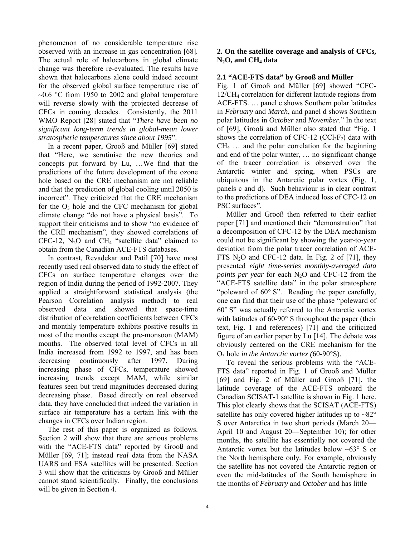phenomenon of no considerable temperature rise observed with an increase in gas concentration [68]. The actual role of halocarbons in global climate change was therefore re-evaluated. The results have shown that halocarbons alone could indeed account for the observed global surface temperature rise of  $\sim$ 0.6 °C from 1950 to 2002 and global temperature will reverse slowly with the projected decrease of CFCs in coming decades. Consistently, the 2011 WMO Report [28] stated that "*There have been no significant long-term trends in global-mean lower stratospheric temperatures since about 1995*".

 In a recent paper, Grooß and Müller [69] stated that "Here, we scrutinise the new theories and concepts put forward by Lu, …We find that the predictions of the future development of the ozone hole based on the CRE mechanism are not reliable and that the prediction of global cooling until 2050 is incorrect". They criticized that the CRE mechanism for the  $O_3$  hole and the CFC mechanism for global climate change "do not have a physical basis". To support their criticisms and to show "no evidence of the CRE mechanism", they showed correlations of CFC-12,  $N_2O$  and CH<sub>4</sub> "satellite data" claimed to obtain from the Canadian ACE-FTS databases.

 In contrast, Revadekar and Patil [70] have most recently used real observed data to study the effect of CFCs on surface temperature changes over the region of India during the period of 1992-2007. They applied a straightforward statistical analysis (the Pearson Correlation analysis method) to real observed data and showed that space-time distribution of correlation coefficients between CFCs and monthly temperature exhibits positive results in most of the months except the pre-monsoon (MAM) months. The observed total level of CFCs in all India increased from 1992 to 1997, and has been decreasing continuously after 1997. During increasing phase of CFCs, temperature showed increasing trends except MAM, while similar features seen but trend magnitudes decreased during decreasing phase. Based directly on real observed data, they have concluded that indeed the variation in surface air temperature has a certain link with the changes in CFCs over Indian region.

 The rest of this paper is organized as follows. Section 2 will show that there are serious problems with the "ACE-FTS data" reported by Grooß and Müller [69, 71]; instead *real* data from the NASA UARS and ESA satellites will be presented. Section 3 will show that the criticisms by Grooß and Müller cannot stand scientifically. Finally, the conclusions will be given in Section 4.

# **2. On the satellite coverage and analysis of CFCs, N2O, and CH4 data**

# **2.1 "ACE-FTS data" by Grooß and Müller**

Fig. 1 of Grooß and Müller [69] showed "CFC-12/CH4 correlation for different latitude regions from ACE-FTS. … panel c shows Southern polar latitudes in *February* and *March*, and panel d shows Southern polar latitudes in *October* and *November*." In the text of [69], Grooß and Müller also stated that "Fig. 1 shows the correlation of CFC-12 (CCl<sub>2</sub>F<sub>2</sub>) data with  $CH<sub>4</sub>$  ... and the polar correlation for the beginning and end of the polar winter, … no significant change of the tracer correlation is observed over the Antarctic winter and spring, when PSCs are ubiquitous in the Antarctic polar vortex (Fig. 1, panels c and d). Such behaviour is in clear contrast to the predictions of DEA induced loss of CFC-12 on PSC surfaces".

 Müller and Grooß then referred to their earlier paper [71] and mentioned their "demonstration" that a decomposition of CFC-12 by the DEA mechanism could not be significant by showing the year-to-year deviation from the polar tracer correlation of ACE-FTS  $N_2O$  and CFC-12 data. In Fig. 2 of [71], they presented *eight time-series monthly-averaged data points per year* for each N<sub>2</sub>O and CFC-12 from the "ACE-FTS satellite data" in the polar stratosphere "poleward of  $60^{\circ}$  S". Reading the paper carefully, one can find that their use of the phase "poleward of  $60^{\circ}$  S" was actually referred to the Antarctic vortex with latitudes of  $60-90^\circ$  S throughout the paper (their text, Fig. 1 and references) [71] and the criticized figure of an earlier paper by Lu [14]. The debate was obviously centered on the CRE mechanism for the O3 hole *in the Antarctic vortex (*60-90S).

 To reveal the serious problems with the "ACE-FTS data" reported in Fig. 1 of Grooß and Müller [69] and Fig. 2 of Müller and Grooß [71], the latitude coverage of the ACE-FTS onboard the Canadian SCISAT-1 satellite is shown in Fig. 1 here. This plot clearly shows that the SCISAT (ACE-FTS) satellite has only covered higher latitudes up to  $\sim 82^\circ$ S over Antarctica in two short periods (March 20— April 10 and August 20—September 10); for other months, the satellite has essentially not covered the Antarctic vortex but the latitudes below  $~63^{\circ}$  S or the North hemisphere only*.* For example, obviously the satellite has not covered the Antarctic region or even the mid-latitudes of the South hemisphere in the months of *February* and *October* and has little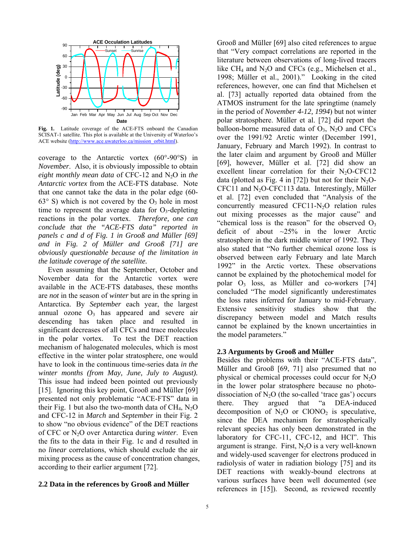

**Fig. 1.** Latitude coverage of the ACE-FTS onboard the Canadian SCISAT-1 satellite. This plot is available at the University of Waterloo's ACE website (http://www.ace.uwaterloo.ca/mission\_orbit.html).

coverage to the Antarctic vortex  $(60^{\circ} - 90^{\circ}S)$  in *November*. Also, it is obviously impossible to obtain *eight monthly mean data* of CFC-12 and N<sub>2</sub>O in *the Antarctic vortex* from the ACE-FTS database. Note that one cannot take the data in the polar edge (60-  $63^\circ$  S) which is not covered by the O<sub>3</sub> hole in most time to represent the average data for  $O_3$ -depleting reactions in the polar vortex. *Therefore, one can conclude that the "ACE-FTS data" reported in panels c and d of Fig. 1 in Grooß and Müller [69] and in Fig. 2 of Müller and Grooß [71] are obviously questionable because of the limitation in the latitude coverage of the satellite.*

Even assuming that the September, October and November data for the Antarctic vortex were available in the ACE-FTS databases, these months are *not* in the season of *winter* but are in the spring in Antarctica. By *September* each year, the largest annual ozone  $O_3$  has appeared and severe air descending has taken place and resulted in significant decreases of all CFCs and trace molecules in the polar vortex. To test the DET reaction mechanism of halogenated molecules, which is most effective in the winter polar stratosphere, one would have to look in the continuous time-series data *in the winter months (from May, June, July to August).* This issue had indeed been pointed out previously [15]. Ignoring this key point, Grooß and Müller [69] presented not only problematic "ACE-FTS" data in their Fig. 1 but also the two-month data of  $CH<sub>4</sub>$ , N<sub>2</sub>O and CFC-12 in *March* and *September* in their Fig. 2 to show "no obvious evidence" of the DET reactions of CFC or N2O over Antarctica during *winter*. Even the fits to the data in their Fig. 1c and d resulted in no *linear* correlations, which should exclude the air mixing process as the cause of concentration changes, according to their earlier argument [72].

#### **2.2 Data in the references by Grooß and Müller**

Grooß and Müller [69] also cited references to argue that "Very compact correlations are reported in the literature between observations of long-lived tracers like  $CH_4$  and  $N_2O$  and CFCs (e.g., Michelsen et al., 1998; Müller et al., 2001)." Looking in the cited references, however, one can find that Michelsen et al. [73] actually reported data obtained from the ATMOS instrument for the late springtime (namely in the period of *November 4-12, 1994*) but not winter polar stratosphere. Müller et al. [72] did report the balloon-borne measured data of  $O_3$ ,  $N_2O$  and CFCs over the 1991/92 Arctic winter (December 1991, January, February and March 1992). In contrast to the later claim and argument by Grooß and Müller [69], however, Müller et al. [72] did show an excellent linear correlation for their  $N_2O$ -CFC12 data (plotted as Fig. 4 in [72]) but not for their  $N_2O$ - $CFC11$  and  $N<sub>2</sub>O-CFC113$  data. Interestingly, Müller et al. [72] even concluded that "Analysis of the concurrently measured  $CFC11-N<sub>2</sub>O$  relation rules out mixing processes as the major cause" and "chemical loss is the reason" for the observed  $O_3$ deficit of about  $\sim$ 25% in the lower Arctic stratosphere in the dark middle winter of 1992. They also stated that "No further chemical ozone loss is observed between early February and late March 1992" in the Arctic vortex. These observations cannot be explained by the photochemical model for polar  $O_3$  loss, as Müller and co-workers [74] concluded "The model significantly underestimates the loss rates inferred for January to mid-February. Extensive sensitivity studies show that the discrepancy between model and Match results cannot be explained by the known uncertainties in the model parameters."

#### **2.3 Arguments by Grooß and Müller**

Besides the problems with their "ACE-FTS data", Müller and Grooß [69, 71] also presumed that no physical or chemical processes could occur for  $N_2O$ in the lower polar stratosphere because no photodissociation of  $N_2O$  (the so-called 'trace gas') occurs there. They argued that "a DEA-induced decomposition of  $N_2O$  or  $ClONO_2$  is speculative, since the DEA mechanism for stratospherically relevant species has only been demonstrated in the laboratory for CFC-11, CFC-12, and HCl". This argument is strange. First,  $N_2O$  is a very well-known and widely-used scavenger for electrons produced in radiolysis of water in radiation biology [75] and its DET reactions with weakly-bound electrons at various surfaces have been well documented (see references in [15]). Second, as reviewed recently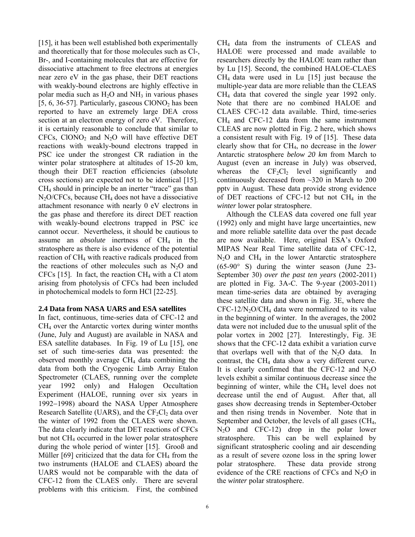[15], it has been well established both experimentally and theoretically that for those molecules such as Cl-, Br-, and I-containing molecules that are effective for dissociative attachment to free electrons at energies near zero eV in the gas phase, their DET reactions with weakly-bound electrons are highly effective in polar media such as  $H_2O$  and  $NH_3$  in various phases [5, 6, 36-57]. Particularly, gaseous  $CIONO<sub>2</sub>$  has been reported to have an extremely large DEA cross section at an electron energy of zero eV. Therefore, it is certainly reasonable to conclude that similar to CFCs, ClONO<sub>2</sub> and N<sub>2</sub>O will have effective DET reactions with weakly-bound electrons trapped in PSC ice under the strongest CR radiation in the winter polar stratosphere at altitudes of 15-20 km, though their DET reaction efficiencies (absolute cross sections) are expected not to be identical [15]. CH4 should in principle be an inerter "trace" gas than  $N_2O/CFCs$ , because CH<sub>4</sub> does not have a dissociative attachment resonance with nearly 0 eV electrons in the gas phase and therefore its direct DET reaction with weakly-bound electrons trapped in PSC ice cannot occur. Nevertheless, it should be cautious to assume an *absolute* inertness of CH<sub>4</sub> in the stratosphere as there is also evidence of the potential reaction of CH4 with reactive radicals produced from the reactions of other molecules such as  $N_2O$  and CFCs [15]. In fact, the reaction  $CH_4$  with a Cl atom arising from photolysis of CFCs had been included in photochemical models to form HCl [22-25].

# **2.4 Data from NASA UARS and ESA satellites**

In fact, continuous, time-series data of CFC-12 and  $CH<sub>4</sub>$  over the Antarctic vortex during winter months (June, July and August) are available in NASA and ESA satellite databases. In Fig. 19 of Lu [15], one set of such time-series data was presented: the observed monthly average  $CH<sub>4</sub>$  data combining the data from both the Cryogenic Limb Array Etalon Spectrometer (CLAES, running over the complete year 1992 only) and Halogen Occultation Experiment (HALOE, running over six years in 1992–1998) aboard the NASA Upper Atmosphere Research Satellite (UARS), and the  $CF_2Cl_2$  data over the winter of 1992 from the CLAES were shown. The data clearly indicate that DET reactions of CFCs but not  $CH_4$  occurred in the lower polar stratosphere during the whole period of winter [15]. Grooß and Müller  $[69]$  criticized that the data for  $CH<sub>4</sub>$  from the two instruments (HALOE and CLAES) aboard the UARS would not be comparable with the data of CFC-12 from the CLAES only. There are several problems with this criticism. First, the combined CH4 data from the instruments of CLEAS and HALOE were processed and made available to researchers directly by the HALOE team rather than by Lu [15]. Second, the combined HALOE-CLAES  $CH<sub>4</sub>$  data were used in Lu [15] just because the multiple-year data are more reliable than the CLEAS  $CH<sub>4</sub>$  data that covered the single year 1992 only. Note that there are no combined HALOE and CLAES CFC-12 data available. Third, time-series CH4 and CFC-12 data from the same instrument CLEAS are now plotted in Fig. 2 here, which shows a consistent result with Fig. 19 of [15]. These data clearly show that for CH4, no decrease in the *lower* Antarctic stratosphere *below 20 km* from March to August (even an increase in July) was observed, whereas the  $CF_2Cl_2$  level significantly and continuously decreased from ~320 in March to 200 pptv in August. These data provide strong evidence of DET reactions of CFC-12 but not  $CH<sub>4</sub>$  in the *winter* lower polar stratosphere.

 Although the CLEAS data covered one full year (1992) only and might have large uncertainties, new and more reliable satellite data over the past decade are now available. Here, original ESA's Oxford MIPAS Near Real Time satellite data of CFC-12,  $N_2O$  and  $CH_4$  in the lower Antarctic stratosphere (65-90 S) during the winter season (June 23- September 30) *over the past ten years* (2002-2011) are plotted in Fig. 3A-C. The 9-year (2003-2011) mean time-series data are obtained by averaging these satellite data and shown in Fig. 3E, where the  $CFC-12/N<sub>2</sub>O/CH<sub>4</sub>$  data were normalized to its value in the beginning of winter. In the averages, the 2002 data were not included due to the unusual split of the polar vortex in 2002 [27]. Interestingly, Fig. 3E shows that the CFC-12 data exhibit a variation curve that overlaps well with that of the  $N_2O$  data. In contrast, the  $CH<sub>4</sub>$  data show a very different curve. It is clearly confirmed that the CFC-12 and  $N_2O$ levels exhibit a similar continuous decrease since the beginning of winter, while the  $CH<sub>4</sub>$  level does not decrease until the end of August. After that, all gases show decreasing trends in September-October and then rising trends in November. Note that in September and October, the levels of all gases (CH<sub>4</sub>,  $N_2O$  and CFC-12) drop in the polar lower stratosphere. This can be well explained by significant stratospheric cooling and air descending as a result of severe ozone loss in the spring lower polar stratosphere. These data provide strong evidence of the CRE reactions of CFCs and  $N_2O$  in the *winter* polar stratosphere.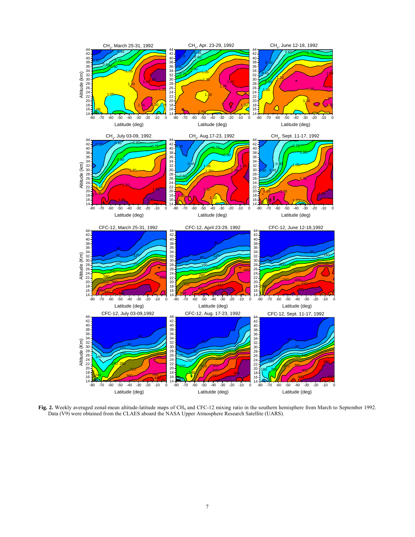

Fig. 2. Weekly averaged zonal-mean altitude-latitude maps of CH<sub>4</sub> and CFC-12 mixing ratio in the southern hemisphere from March to September 1992. Data (V9) were obtained from the CLAES aboard the NASA Upper Atmosphere Research Satellite (UARS).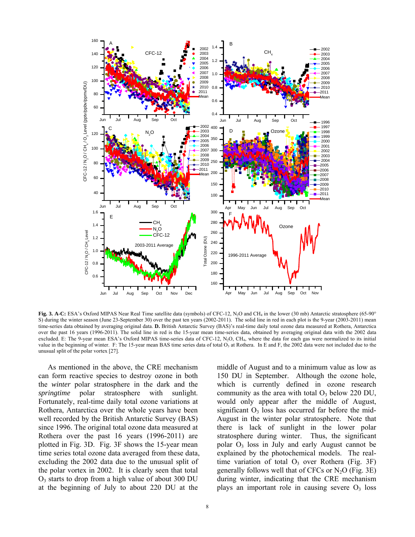

Fig. 3. A-C: ESA's Oxford MIPAS Near Real Time satellite data (symbols) of CFC-12, N<sub>2</sub>O and CH<sub>4</sub> in the lower (30 mb) Antarctic stratosphere (65-90° S) during the winter season (June 23-September 30) over the past ten years (2002-2011). The solid line in red in each plot is the 9-year (2003-2011) mean time-series data obtained by averaging original data. **D.** British Antarctic Survey (BAS)'s real-time daily total ozone data measured at Rothera, Antarctica over the past 16 years (1996-2011). The solid line in red is the 15-year mean time-series data, obtained by averaging original data with the 2002 data excluded. E: The 9-year mean ESA's Oxford MIPAS time-series data of CFC-12, N2O, CH4, where the data for each gas were normalized to its initial value in the beginning of winter. F: The 15-year mean BAS time series data of total  $O_3$  at Rothera. In E and F, the 2002 data were not included due to the unusual split of the polar vortex [27].

 As mentioned in the above, the CRE mechanism can form reactive species to destroy ozone in both the *winter* polar stratosphere in the dark and the *springtime* polar stratosphere with sunlight. Fortunately, real-time daily total ozone variations at Rothera, Antarctica over the whole years have been well recorded by the British Antarctic Survey (BAS) since 1996. The original total ozone data measured at Rothera over the past 16 years (1996-2011) are plotted in Fig. 3D. Fig. 3F shows the 15-year mean time series total ozone data averaged from these data, excluding the 2002 data due to the unusual split of the polar vortex in 2002. It is clearly seen that total  $O<sub>3</sub>$  starts to drop from a high value of about 300 DU at the beginning of July to about 220 DU at the

middle of August and to a minimum value as low as 150 DU in September. Although the ozone hole, which is currently defined in ozone research community as the area with total  $O<sub>3</sub>$  below 220 DU, would only appear after the middle of August, significant  $O_3$  loss has occurred far before the mid-August in the winter polar stratosphere. Note that there is lack of sunlight in the lower polar stratosphere during winter. Thus, the significant polar  $O_3$  loss in July and early August cannot be explained by the photochemical models. The realtime variation of total  $O_3$  over Rothera (Fig. 3F) generally follows well that of CFCs or  $N_2O$  (Fig. 3E) during winter, indicating that the CRE mechanism plays an important role in causing severe  $O<sub>3</sub>$  loss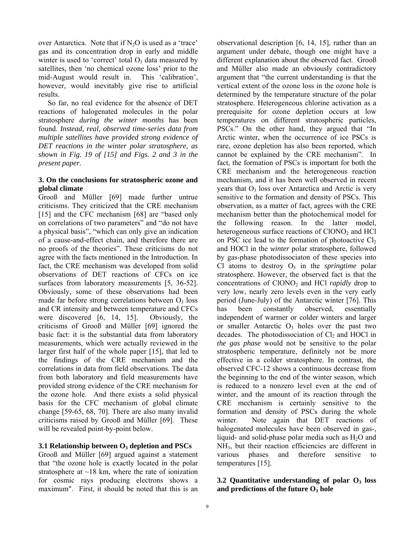over Antarctica. Note that if  $N_2O$  is used as a 'trace' gas and its concentration drop in early and middle winter is used to 'correct' total  $O_3$  data measured by satellites, then 'no chemical ozone loss' prior to the mid-August would result in. This 'calibration', however, would inevitably give rise to artificial results.

 So far, no real evidence for the absence of DET reactions of halogenated molecules in the polar stratosphere *during the winter months* has been found. *Instead, real, observed time-series data from multiple satellites have provided strong evidence of DET reactions in the winter polar stratosphere, as shown in Fig. 19 of [15] and Figs. 2 and 3 in the present paper.*

## **3. On the conclusions for stratospheric ozone and global climate**

Grooß and Müller [69] made further untrue criticisms. They criticized that the CRE mechanism [15] and the CFC mechanism [68] are "based only on correlations of two parameters" and "do not have a physical basis", "which can only give an indication of a cause-and-effect chain, and therefore there are no proofs of the theories". These criticisms do not agree with the facts mentioned in the Introduction. In fact, the CRE mechanism was developed from solid observations of DET reactions of CFCs on ice surfaces from laboratory measurements [5, 36-52]. Obviously, some of these observations had been made far before strong correlations between  $O<sub>3</sub>$  loss and CR intensity and between temperature and CFCs were discovered [6, 14, 15]. Obviously, the criticisms of Grooß and Müller [69] ignored the basic fact: it is the substantial data from laboratory measurements, which were actually reviewed in the larger first half of the whole paper [15], that led to the findings of the CRE mechanism and the correlations in data from field observations. The data from both laboratory and field measurements have provided strong evidence of the CRE mechanism for the ozone hole. And there exists a solid physical basis for the CFC mechanism of global climate change [59-65, 68, 70]. There are also many invalid criticisms raised by Grooß and Müller [69]. These will be revealed point-by-point below.

# **3.1 Relationship between O3 depletion and PSCs**

Grooß and Müller [69] argued against a statement that "the ozone hole is exactly located in the polar stratosphere at  $\sim$ 18 km, where the rate of ionization for cosmic rays producing electrons shows a maximum". First, it should be noted that this is an

observational description [6, 14, 15], rather than an argument under debate, though one might have a different explanation about the observed fact. Grooß and Müller also made an obviously contradictory argument that "the current understanding is that the vertical extent of the ozone loss in the ozone hole is determined by the temperature structure of the polar stratosphere. Heterogeneous chlorine activation as a prerequisite for ozone depletion occurs at low temperatures on different stratospheric particles, PSCs." On the other hand, they argued that "In Arctic winter, when the occurrence of ice PSCs is rare, ozone depletion has also been reported, which cannot be explained by the CRE mechanism". In fact, the formation of PSCs is important for both the CRE mechanism and the heterogeneous reaction mechanism, and it has been well observed in recent years that  $O_3$  loss over Antarctica and Arctic is very sensitive to the formation and density of PSCs. This observation, as a matter of fact, agrees with the CRE mechanism better than the photochemical model for the following reason. In the latter model, heterogeneous surface reactions of  $CIONO<sub>2</sub>$  and  $HCl$ on PSC ice lead to the formation of photoactive  $Cl<sub>2</sub>$ and HOCl in the *winter* polar stratosphere, followed by gas-phase photodissociaton of these species into Cl atoms to destroy  $O_3$  in the *springtime* polar stratosphere. However, the observed fact is that the concentrations of ClONO<sub>2</sub> and HCl *rapidly* drop to very low, nearly zero levels even in the very early period (June-July) of the Antarctic winter [76]. This has been constantly observed, essentially independent of warmer or colder winters and larger or smaller Antarctic  $O_3$  holes over the past two decades. The photodissociation of  $Cl<sub>2</sub>$  and HOCl in *the gas phase* would not be sensitive to the polar stratospheric temperature, definitely not be more effective in a colder stratosphere. In contrast, the observed CFC-12 shows a continuous decrease from the beginning to the end of the winter season, which is reduced to a nonzero level even at the end of winter, and the amount of its reaction through the CRE mechanism is certainly sensitive to the formation and density of PSCs during the whole winter. Note again that DET reactions of halogenated molecules have been observed in gas-, liquid- and solid-phase polar media such as  $H_2O$  and NH3, but their reaction efficiencies are different in various phases and therefore sensitive to temperatures [15].

# **3.2 Quantitative understanding of polar O3 loss**  and predictions of the future O<sub>3</sub> hole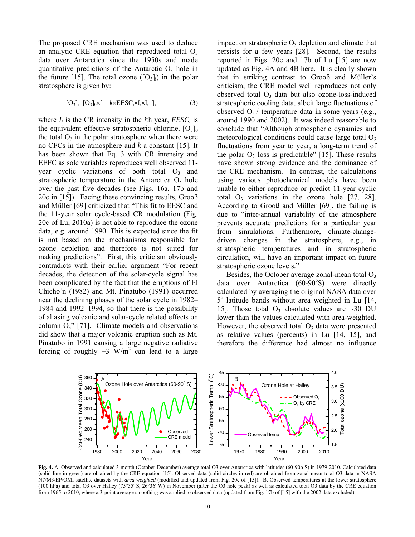The proposed CRE mechanism was used to deduce an analytic CRE equation that reproduced total  $O_3$ data over Antarctica since the 1950s and made quantitative predictions of the Antarctic  $O_3$  hole in the future [15]. The total ozone  $([O_3]_i)$  in the polar stratosphere is given by:

$$
[O_3]_i = [O_3]_0 \times [1 - k \times EESC_i \times I_i \times I_{i-1}], \tag{3}
$$

where  $I_i$  is the CR intensity in the *i*th year,  $EESC_i$  is the equivalent effective stratospheric chlorine,  $[O_3]_0$ the total  $O_3$  in the polar stratosphere when there were no CFCs in the atmosphere and *k* a constant [15]. It has been shown that Eq. 3 with CR intensity and EEFC as sole variables reproduces well observed 11 year cyclic variations of both total  $O_3$  and stratospheric temperature in the Antarctica  $O_3$  hole over the past five decades (see Figs. 16a, 17b and 20c in [15]). Facing these convincing results, Grooß and Müller [69] criticized that "This fit to EESC and the 11-year solar cycle-based CR modulation (Fig. 20c of Lu, 2010a) is not able to reproduce the ozone data, e.g. around 1990. This is expected since the fit is not based on the mechanisms responsible for ozone depletion and therefore is not suited for making predictions". First, this criticism obviously contradicts with their earlier argument "For recent decades, the detection of the solar-cycle signal has been complicated by the fact that the eruptions of El Chicho´n (1982) and Mt. Pinatubo (1991) occurred near the declining phases of the solar cycle in 1982– 1984 and 1992–1994, so that there is the possibility of aliasing volcanic and solar-cycle related effects on column  $O_3$ " [71]. Climate models and observations did show that a major volcanic eruption such as Mt. Pinatubo in 1991 causing a large negative radiative forcing of roughly  $-3$  W/m<sup>2</sup> can lead to a large impact on stratospheric  $O_3$  depletion and climate that persists for a few years [28]. Second, the results reported in Figs. 20c and 17b of Lu [15] are now updated as Fig. 4A and 4B here. It is clearly shown that in striking contrast to Grooß and Müller's criticism, the CRE model well reproduces not only observed total  $O_3$  data but also ozone-loss-induced stratospheric cooling data, albeit large fluctuations of observed  $O_3$  / temperature data in some years (e.g., around 1990 and 2002). It was indeed reasonable to conclude that "Although atmospheric dynamics and meteorological conditions could cause large total  $O<sub>3</sub>$ fluctuations from year to year, a long-term trend of the polar  $O_3$  loss is predictable" [15]. These results have shown strong evidence and the dominance of the CRE mechanism. In contrast, the calculations using various photochemical models have been unable to either reproduce or predict 11-year cyclic total  $O_3$  variations in the ozone hole [27, 28]. According to Grooß and Müller [69], the failing is due to "inter-annual variability of the atmosphere prevents accurate predictions for a particular year from simulations. Furthermore, climate-changedriven changes in the stratosphere, e.g., in stratospheric temperatures and in stratospheric circulation, will have an important impact on future stratospheric ozone levels."

Besides, the October average zonal-mean total  $O_3$ data over Antarctica  $(60-90°S)$  were directly calculated by averaging the original NASA data over 5<sup>o</sup> latitude bands without area weighted in Lu [14, 15]. Those total  $O_3$  absolute values are ~30 DU lower than the values calculated with area-weighted. However, the observed total  $O_3$  data were presented as relative values (percents) in Lu [14, 15], and therefore the difference had almost no influence



**Fig. 4.** A: Observed and calculated 3-month (October-December) average total O3 over Antarctica with latitudes (60-90o S) in 1979-2010. Calculated data (solid line in green) are obtained by the CRE equation [15]. Observed data (solid circles in red) are obtained from zonal-mean total O3 data in NASA N7/M3/EP/OMI satellite datasets with *area weighted* (modified and updated from Fig. 20c of [15]). B. Observed temperatures at the lower stratosphere (100 hPa) and total O3 over Halley (75°35' S, 26°36' W) in November (after the O3 hole peak) as well as calculated total O3 data by the CRE equation from 1965 to 2010, where a 3-point average smoothing was applied to observed data (updated from Fig. 17b of [15] with the 2002 data excluded).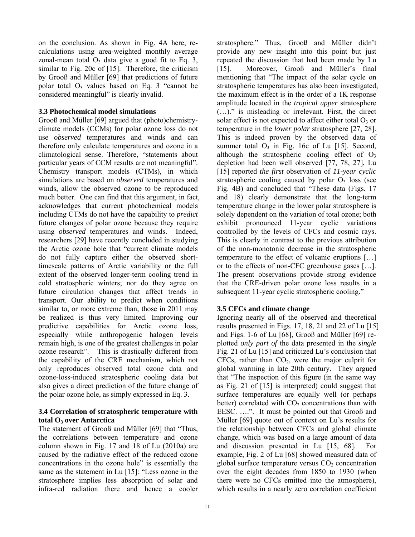on the conclusion. As shown in Fig. 4A here, recalculations using area-weighted monthly average zonal-mean total  $O_3$  data give a good fit to Eq. 3, similar to Fig. 20c of [15]. Therefore, the criticism by Grooß and Müller [69] that predictions of future polar total  $O_3$  values based on Eq. 3 "cannot be considered meaningful" is clearly invalid.

## **3.3 Photochemical model simulations**

Grooß and Müller [69] argued that (photo)chemistryclimate models (CCMs) for polar ozone loss do not use *observed* temperatures and winds and can therefore only calculate temperatures and ozone in a climatological sense. Therefore, "statements about particular years of CCM results are not meaningful". Chemistry transport models (CTMs), in which simulations are based on *observed* temperatures and winds, allow the observed ozone to be reproduced much better. One can find that this argument, in fact, acknowledges that current photochemical models including CTMs do not have the capability to *predict* future changes of polar ozone because they require using *observed* temperatures and winds. Indeed, researchers [29] have recently concluded in studying the Arctic ozone hole that "current climate models do not fully capture either the observed shorttimescale patterns of Arctic variability or the full extent of the observed longer-term cooling trend in cold stratospheric winters; nor do they agree on future circulation changes that affect trends in transport. Our ability to predict when conditions similar to, or more extreme than, those in 2011 may be realized is thus very limited. Improving our predictive capabilities for Arctic ozone loss, especially while anthropogenic halogen levels remain high, is one of the greatest challenges in polar ozone research". This is drastically different from the capability of the CRE mechanism, which not only reproduces observed total ozone data and ozone-loss-induced stratospheric cooling data but also gives a direct prediction of the future change of the polar ozone hole, as simply expressed in Eq. 3.

# **3.4 Correlation of stratospheric temperature with total O3 over Antarctica**

The statement of Grooß and Müller [69] that "Thus, the correlations between temperature and ozone column shown in Fig. 17 and 18 of Lu (2010a) are caused by the radiative effect of the reduced ozone concentrations in the ozone hole" is essentially the same as the statement in Lu [15]: "Less ozone in the stratosphere implies less absorption of solar and infra-red radiation there and hence a cooler

stratosphere." Thus, Grooß and Müller didn't provide any new insight into this point but just repeated the discussion that had been made by Lu [15]. Moreover, Grooß and Müller's final mentioning that "The impact of the solar cycle on stratospheric temperatures has also been investigated, the maximum effect is in the order of a 1K response amplitude located in the *tropical upper* stratosphere (…)." is misleading or irrelevant. First, the direct solar effect is not expected to affect either total  $O_3$  or temperature in the *lower polar* stratosphere [27, 28]. This is indeed proven by the observed data of summer total  $O_3$  in Fig. 16c of Lu [15]. Second, although the stratospheric cooling effect of  $O_3$ depletion had been well observed [77, 78, 27], Lu [15] reported *the first* observation of *11-year cyclic* stratospheric cooling caused by polar  $O<sub>3</sub>$  loss (see Fig. 4B) and concluded that "These data (Figs. 17 and 18) clearly demonstrate that the long-term temperature change in the lower polar stratosphere is solely dependent on the variation of total ozone; both exhibit pronounced 11-year cyclic variations controlled by the levels of CFCs and cosmic rays. This is clearly in contrast to the previous attribution of the non-monotonic decrease in the stratospheric temperature to the effect of volcanic eruptions […] or to the effects of non-CFC greenhouse gases […]. The present observations provide strong evidence that the CRE-driven polar ozone loss results in a subsequent 11-year cyclic stratospheric cooling*.*"

# **3.5 CFCs and climate change**

Ignoring nearly all of the observed and theoretical results presented in Figs. 17, 18, 21 and 22 of Lu [15] and Figs. 1-6 of Lu [68], Grooß and Müller [69] replotted *only part of* the data presented in the *single*  Fig. 21 of Lu [15] and criticized Lu's conclusion that CFCs, rather than  $CO<sub>2</sub>$ , were the major culprit for global warming in late 20th century. They argued that "The inspection of this figure (in the same way as Fig. 21 of [15] is interpreted) could suggest that surface temperatures are equally well (or perhaps better) correlated with  $CO<sub>2</sub>$  concentrations than with EESC. ….". It must be pointed out that Grooß and Müller [69] quote out of context on Lu's results for the relationship between CFCs and global climate change, which was based on a large amount of data and discussion presented in Lu [15, 68]. For example, Fig. 2 of Lu [68] showed measured data of global surface temperature versus  $CO<sub>2</sub>$  concentration over the eight decades from 1850 to 1930 (when there were no CFCs emitted into the atmosphere), which results in a nearly zero correlation coefficient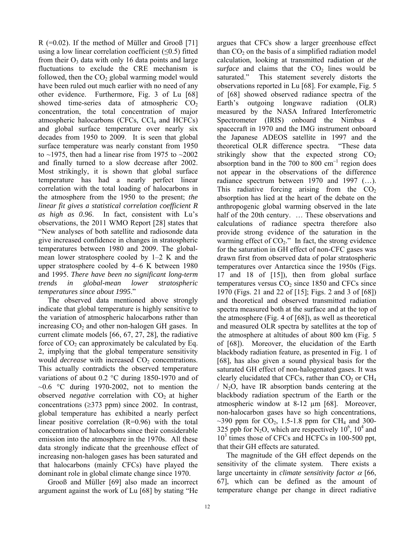R (=0.02). If the method of Müller and Grooß [71] using a low linear correlation coefficient  $(\leq 0.5)$  fitted from their  $O_3$  data with only 16 data points and large fluctuations to exclude the CRE mechanism is followed, then the  $CO<sub>2</sub>$  global warming model would have been ruled out much earlier with no need of any other evidence. Furthermore, Fig. 3 of Lu [68] showed time-series data of atmospheric  $CO<sub>2</sub>$ concentration, the total concentration of major atmospheric halocarbons (CFCs,  $\text{CCl}_4$  and  $\text{HCFCs}$ ) and global surface temperature over nearly six decades from 1950 to 2009. It is seen that global surface temperature was nearly constant from 1950 to  $\sim$ 1975, then had a linear rise from 1975 to  $\sim$ 2002 and finally turned to a slow decrease after 2002. Most strikingly, it is shown that global surface temperature has had a nearly perfect linear correlation with the total loading of halocarbons in the atmosphere from the 1950 to the present; *the linear fit gives a statistical correlation coefficient R as high as 0.96*. In fact, consistent with Lu's observations, the 2011 WMO Report [28] states that "New analyses of both satellite and radiosonde data give increased confidence in changes in stratospheric temperatures between 1980 and 2009. The globalmean lower stratosphere cooled by 1–2 K and the upper stratosphere cooled by 4–6 K between 1980 and 1995. *There have been no significant long-term trends in global-mean lower stratospheric temperatures since about 1995*."

 The observed data mentioned above strongly indicate that global temperature is highly sensitive to the variation of atmospheric halocarbons rather than increasing  $CO<sub>2</sub>$  and other non-halogen GH gases. In current climate models [66, 67, 27, 28], the radiative force of  $CO<sub>2</sub>$  can approximately be calculated by Eq. 2, implying that the global temperature sensitivity would *decrease* with increased CO<sub>2</sub> concentrations. This actually contradicts the observed temperature variations of about  $0.2 \text{ °C}$  during 1850-1970 and of  $\sim 0.6$  °C during 1970-2002, not to mention the observed *negative* correlation with CO<sub>2</sub> at higher concentrations  $(\geq 373 \text{ ppm})$  since 2002. In contrast, global temperature has exhibited a nearly perfect linear positive correlation  $(R=0.96)$  with the total concentration of halocarbons since their considerable emission into the atmosphere in the 1970s. All these data strongly indicate that the greenhouse effect of increasing non-halogen gases has been saturated and that halocarbons (mainly CFCs) have played the dominant role in global climate change since 1970.

 Grooß and Müller [69] also made an incorrect argument against the work of Lu [68] by stating "He

argues that CFCs show a larger greenhouse effect than  $CO<sub>2</sub>$  on the basis of a simplified radiation model calculation, looking at transmitted radiation *at the surface* and claims that the  $CO<sub>2</sub>$  lines would be saturated." This statement severely distorts the observations reported in Lu [68]. For example, Fig. 5 of [68] showed observed radiance spectra of the Earth's outgoing longwave radiation (OLR) measured by the NASA Infrared Interferometric Spectrometer (IRIS) onboard the Nimbus 4 spacecraft in 1970 and the IMG instrument onboard the Japanese ADEOS satellite in 1997 and the theoretical OLR difference spectra. "These data strikingly show that the expected strong  $CO<sub>2</sub>$ absorption band in the 700 to 800  $\text{cm}^{-1}$  region does not appear in the observations of the difference radiance spectrum between 1970 and 1997 (…). This radiative forcing arising from the  $CO<sub>2</sub>$ absorption has lied at the heart of the debate on the anthropogenic global warming observed in the late half of the 20th century. ... These observations and calculations of radiance spectra therefore also provide strong evidence of the saturation in the warming effect of  $CO<sub>2</sub>$ ." In fact, the strong evidence for the saturation in GH effect of non-CFC gases was drawn first from observed data of polar stratospheric temperatures over Antarctica since the 1950s (Figs. 17 and 18 of [15]), then from global surface temperatures versus  $CO<sub>2</sub>$  since 1850 and CFCs since 1970 (Figs. 21 and 22 of [15]; Figs. 2 and 3 of [68]) and theoretical and observed transmitted radiation spectra measured both at the surface and at the top of the atmosphere (Fig. 4 of [68]), as well as theoretical and measured OLR spectra by satellites at the top of the atmosphere at altitudes of about 800 km (Fig. 5 of [68]). Moreover, the elucidation of the Earth blackbody radiation feature, as presented in Fig. 1 of [68], has also given a sound physical basis for the saturated GH effect of non-halogenated gases. It was clearly elucidated that CFCs, rather than  $CO<sub>2</sub>$  or  $CH<sub>4</sub>$  $/N<sub>2</sub>O$ , have IR absorption bands centering at the blackbody radiation spectrum of the Earth or the atmospheric window at 8-12 µm [68]. Moreover, non-halocarbon gases have so high concentrations,  $\sim$ 390 ppm for CO<sub>2</sub>, 1.5-1.8 ppm for CH<sub>4</sub> and 300-325 ppb for N<sub>2</sub>O, which are respectively 10<sup>6</sup>, 10<sup>4</sup> and 10<sup>3</sup> times those of CFCs and HCFCs in 100-500 ppt, that their GH effects are saturated.

 The magnitude of the GH effect depends on the sensitivity of the climate system. There exists a large uncertainty in *climate sensitivity factor*  $\alpha$  [66, 67], which can be defined as the amount of temperature change per change in direct radiative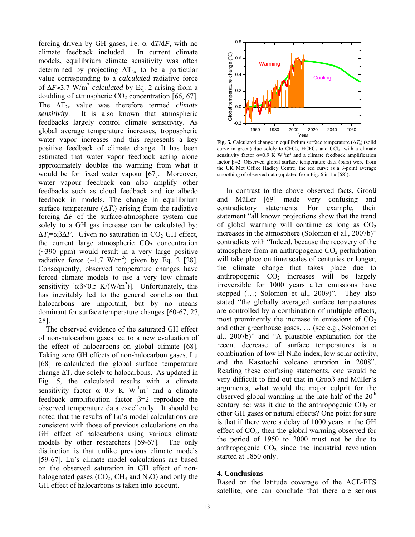forcing driven by GH gases, i.e.  $\alpha = dT/dF$ , with no climate feedback included. In current climate models, equilibrium climate sensitivity was often determined by projecting  $\Delta T_{2x}$  to be a particular value corresponding to a *calculated* radiative force of  $\Delta F \approx 3.7$  W/m<sup>2</sup> *calculated* by Eq. 2 arising from a doubling of atmospheric  $CO<sub>2</sub>$  concentration [66, 67]. The  $\Delta T_{2x}$  value was therefore termed *climate sensitivity*. It is also known that atmospheric feedbacks largely control climate sensitivity. As global average temperature increases, tropospheric water vapor increases and this represents a key positive feedback of climate change. It has been estimated that water vapor feedback acting alone approximately doubles the warming from what it would be for fixed water vapour [67]. Moreover, water vapour feedback can also amplify other feedbacks such as cloud feedback and ice albedo feedback in models. The change in equilibrium surface temperature  $(\Delta T_s)$  arising from the radiative forcing Δ*F* of the surface-atmosphere system due solely to a GH gas increase can be calculated by:  $\Delta T_s = \alpha \beta \Delta F$ . Given no saturation in CO<sub>2</sub> GH effect, the current large atmospheric  $CO<sub>2</sub>$  concentration (~390 ppm) would result in a very large positive radiative force  $(-1.7 \text{ W/m}^2)$  given by Eq. 2 [28]. Consequently, observed temperature changes have forced climate models to use a very low climate sensitivity  $\lceil \alpha \beta \leq 0.5 \text{ K/(W/m}^2) \rceil$ . Unfortunately, this has inevitably led to the general conclusion that halocarbons are important, but by no means dominant for surface temperature changes [60-67, 27, 28].

 The observed evidence of the saturated GH effect of non-halocarbon gases led to a new evaluation of the effect of halocarbons on global climate [68]. Taking zero GH effects of non-halocarbon gases, Lu [68] re-calculated the global surface temperature change  $\Delta T_s$  due solely to halocarbons. As updated in Fig. 5, the calculated results with a climate sensitivity factor  $\alpha=0.9$  K W<sup>-1</sup>m<sup>2</sup> and a climate feedback amplification factor  $\beta=2$  reproduce the observed temperature data excellently. It should be noted that the results of Lu's model calculations are consistent with those of previous calculations on the GH effect of halocarbons using various climate models by other researchers [59-67]. The only distinction is that unlike previous climate models [59-67], Lu's climate model calculations are based on the observed saturation in GH effect of nonhalogenated gases  $(CO_2, CH_4 \text{ and } N_2O)$  and only the GH effect of halocarbons is taken into account.



**Fig. 5.** Calculated change in equilibrium surface temperature  $(\Delta T_s)$  (solid curve in green) due solely to CFCs, HCFCs and CCl<sub>4</sub>, with a climate sensitivity factor  $\alpha=0.9$  K W<sup>-1</sup>m<sup>2</sup> and a climate feedback amplification factor  $\beta$ =2. Observed global surface temperature data (bars) were from the UK Met Office Hadley Centre; the red curve is a 3-point average smoothing of observed data (updated from Fig. 6 in Lu [68]).

 In contrast to the above observed facts, Grooß and Müller [69] made very confusing and contradictory statements. For example, their statement "all known projections show that the trend of global warming will continue as long as  $CO<sub>2</sub>$ increases in the atmosphere (Solomon et al., 2007b)" contradicts with "Indeed, because the recovery of the atmosphere from an anthropogenic  $CO<sub>2</sub>$  perturbation will take place on time scales of centuries or longer, the climate change that takes place due to anthropogenic  $CO<sub>2</sub>$  increases will be largely irreversible for 1000 years after emissions have stopped (…; Solomon et al., 2009)". They also stated "the globally averaged surface temperatures are controlled by a combination of multiple effects, most prominently the increase in emissions of  $CO<sub>2</sub>$ and other greenhouse gases, … (see e.g., Solomon et al., 2007b)" and "A plausible explanation for the recent decrease of surface temperatures is a combination of low El Niño index, low solar activity, and the Kasatochi volcano eruption in 2008". Reading these confusing statements, one would be very difficult to find out that in Grooß and Müller's arguments, what would the major culprit for the observed global warming in the late half of the  $20<sup>th</sup>$ century be: was it due to the anthropogenic  $CO<sub>2</sub>$  or other GH gases or natural effects? One point for sure is that if there were a delay of 1000 years in the GH effect of  $CO<sub>2</sub>$ , then the global warming observed for the period of 1950 to 2000 must not be due to anthropogenic  $CO<sub>2</sub>$  since the industrial revolution started at 1850 only.

# **4. Conclusions**

Based on the latitude coverage of the ACE-FTS satellite, one can conclude that there are serious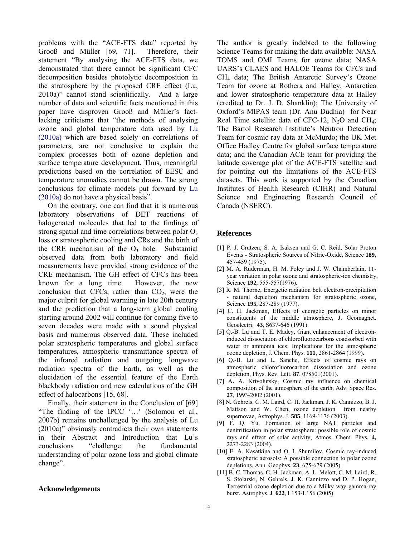problems with the "ACE-FTS data" reported by Grooß and Müller [69, 71]. Therefore, their statement "By analysing the ACE-FTS data, we demonstrated that there cannot be significant CFC decomposition besides photolytic decomposition in the stratosphere by the proposed CRE effect (Lu, 2010a)" cannot stand scientifically. And a large number of data and scientific facts mentioned in this paper have disproven Grooß and Müller's factlacking criticisms that "the methods of analysing ozone and global temperature data used by Lu (2010a) which are based solely on correlations of parameters, are not conclusive to explain the complex processes both of ozone depletion and surface temperature development. Thus, meaningful predictions based on the correlation of EESC and temperature anomalies cannot be drawn. The strong conclusions for climate models put forward by Lu (2010a) do not have a physical basis".

 On the contrary, one can find that it is numerous laboratory observations of DET reactions of halogenated molecules that led to the findings of strong spatial and time correlations between polar  $O<sub>3</sub>$ loss or stratospheric cooling and CRs and the birth of the CRE mechanism of the  $O_3$  hole. Substantial observed data from both laboratory and field measurements have provided strong evidence of the CRE mechanism. The GH effect of CFCs has been known for a long time. However, the new conclusion that CFCs, rather than  $CO<sub>2</sub>$ , were the major culprit for global warming in late 20th century and the prediction that a long-term global cooling starting around 2002 will continue for coming five to seven decades were made with a sound physical basis and numerous observed data. These included polar stratospheric temperatures and global surface temperatures, atmospheric transmittance spectra of the infrared radiation and outgoing longwave radiation spectra of the Earth, as well as the elucidation of the essential feature of the Earth blackbody radiation and new calculations of the GH effect of halocarbons [15, 68].

 Finally, their statement in the Conclusion of [69] "The finding of the IPCC '…' (Solomon et al., 2007b) remains unchallenged by the analysis of Lu (2010a)" obviously contradicts their own statements in their Abstract and Introduction that Lu's conclusions "challenge the fundamental understanding of polar ozone loss and global climate change".

## **Acknowledgements**

The author is greatly indebted to the following Science Teams for making the data available: NASA TOMS and OMI Teams for ozone data; NASA UARS's CLAES and HALOE Teams for CFCs and CH4 data; The British Antarctic Survey's Ozone Team for ozone at Rothera and Halley, Antarctica and lower stratospheric temperature data at Halley (credited to Dr. J. D. Shanklin); The University of Oxford's MIPAS team (Dr. Anu Dudhia) for Near Real Time satellite data of CFC-12,  $N_2O$  and CH<sub>4</sub>; The Bartol Research Institute's Neutron Detection Team for cosmic ray data at McMurdo; the UK Met Office Hadley Centre for global surface temperature data; and the Canadian ACE team for providing the latitude coverage plot of the ACE-FTS satellite and for pointing out the limitations of the ACE-FTS datasets. This work is supported by the Canadian Institutes of Health Research (CIHR) and Natural Science and Engineering Research Council of Canada (NSERC).

## **References**

- [1] P. J. Crutzen, S. A. Isaksen and G. C. Reid, Solar Proton Events - Stratospheric Sources of Nitric-Oxide, Science **189**, 457-459 (1975).
- [2] M. A. Ruderman, H. M. Foley and J. W. Chamberlain, 11 year variation in polar ozone and stratospheric-ion chemistry, Science **192**, 555-557(1976).
- [3] R. M. Thorne, Energetic radiation belt electron-precipitation - natural depletion mechanism for stratospheric ozone, Science **195**, 287-289 (1977).
- [4] C. H. Jackman, Effects of energetic particles on minor constituents of the middle atmosphere, J. Geomagnet. Geoelectri. **43**, S637-646 (1991).
- [5] Q.-B. Lu and T. E. Madey, Giant enhancement of electroninduced dissociation of chlorofluorocarbons coadsorbed with water or ammonia ices: Implications for the atmospheric ozone depletion, J. Chem. Phys. **111**, 2861-2864 (1999).
- [6] Q.-B. Lu and L. Sanche, Effects of cosmic rays on atmospheric chlorofluorocarbon dissociation and ozone depletion, Phys. Rev. Lett. **87**, 078501(2001).
- [7] A**.** A. Krivolutsky, Cosmic ray influence on chemical composition of the atmosphere of the earth, Adv. Space Res. **27**, 1993-2002 (2001).
- [8] N**.** Gehrels, C. M. Laird, C. H. Jackman, J. K. Cannizzo, B. J. Mattson and W. Chen, ozone depletion from nearby supernovae, Astrophys. J. **585**, 1169-1176 (2003).
- [9] F. Q. Yu, Formation of large NAT particles and denitrification in polar stratosphere: possible role of cosmic rays and effect of solar activity, Atmos. Chem. Phys*.* **4,** 2273-2283 (2004).
- [10] E. A. Kasatkina and O. I. Shumilov, Cosmic ray-induced stratospheric aerosols: A possible connection to polar ozone depletions, Ann. Geophys. **23**, 675-679 (2005).
- [11] B. C. Thomas, C. H. Jackman, A. L. Melott, C. M. Laird, R. S. Stolarski, N. Gehrels, J. K. Cannizzo and D. P. Hogan, Terrestrial ozone depletion due to a Milky way gamma-ray burst, Astrophys. J. **622**, L153-L156 (2005).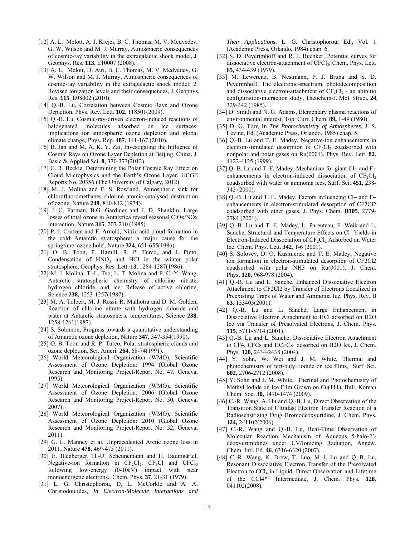- [12] A. L. Melott, A. J. Krejci, B. C. Thomas, M. V. Medvedev, G. W. Wilson and M. J. Murray, Atmospheric consequences of cosmic-ray variability in the extragalactic shock model, J. Geophys. Res. **113**, E10007 (2008).
- [13] A. L. Melott, D. Atri, B. C. Thomas, M. V. Medvedev, G. W. Wilson and M. J. Murray, Atmospheric consequences of cosmic-ray variability in the extragalactic shock model: 2. Revised ionization levels and their consequences, J. Geophys. Res. **115**, E08002 (2010).
- [14] Q.-B. Lu, Correlation between Cosmic Rays and Ozone Depletion, Phys. Rev. Lett. **102**, 118501(2009).
- [15] Q.-B. Lu, Cosmic-ray-driven electron-induced reactions of halogenated molecules adsorbed on ice surfaces: implications for atmospheric ozone depletion and global climate change, Phys. Rep. **487**, 141-167 (2010).
- [16] B. Jan and M. A. K. Y. Zai, Investigating the Influence of Cosmic Rays on Ozone Layer Depletion at Beijing, China, J. Basic & Applied Sci*.* **8***,* 370-373(2012).
- [17] C. R. Beckie, Determining the Polar Cosmic Ray Effect on Cloud Microphysics and the Earth's Ozone Layer, UCGE Reports No. 20356 (The University of Calgary*,* 2012).
- [18] M. J. Molina and F. S. Rowland, Atmospheric sink for chlorofluoromethanes-chlorine atomic-catalysed destruction of ozone, Nature **249**, 810-812 (1974).
- [19] J. C. Farman, B.G. Gardiner and J. D. Shanklin, Large losses of total ozone in Antarctica reveal seasonal ClOx/NOx interaction, Nature **315**, 207-210 (1985).
- [20] P. J. Crutzen and F. Arnold, Nitric acid cloud formation in the cold Antarctic stratosphere: a major cause for the springtime 'ozone hole', Nature **324**, 651-655(1986).
- [21] O. B. Toon, P. Hamill, R. P. Turco, and J. Pinto, Condensation of  $HNO<sub>3</sub>$  and HCl in the winter polar stratosphere, Geophys. Res. Lett. **13**, 1284-1287(1986).
- [22] M. J. Molina, T.-L. Tso, L. T. Molina and F. C.-Y. Wang, Antarctic stratospheric chemistry of chlorine nitrate, hydrogen chloride, and ice: Release of active chlorine, Science **238**, 1253-1257(1987).
- [23] M. A. Tolbert, M. J. Rossi, R. Malhotra and D. M. Golden, Reaction of chlorine nitrate with hydrogen chloride and water at Antarctic stratospheric temperatures, Science **238**, 1258-1261(1987).
- [24] S. Solomon, Progress towards a quantitative understanding of Antarctic ozone depletion, Nature **347**, 347-354(1990).
- [25] O. B. Toon and R. P. Turco, Polar stratospheric clouds and ozone depletion, Sci. Ameri. **264**, 68-74(1991).
- [26] World Meteorological Organization (WMO), Scientific Assessment of Ozone Depletion: 1994 (Global Ozone Research and Monitoring Project-Report No. 47, Geneva, 1995).
- [27] World Meteorological Organization (WMO), Scientific Assessment of Ozone Depletion: 2006 (Global Ozone Research and Monitoring Project-Report No. 50, Geneva, 2007).
- [28] World Meteorological Organization (WMO), Scientific Assessment of Ozone Depletion: 2010 (Global Ozone Research and Monitoring Project-Report No. 52, Geneva, 2011).
- [29] G. L. Manney et al. Unprecedented Arctic ozone loss in 2011, Nature **478**, 469-475 (2011).
- [30] E. Illenberger, H.-U. Scheunemann and H. Baumgärtel, Negative-ion formation in  $CF_2Cl_2$ ,  $CF_3Cl$  and  $CFCI_3$ following low-energy (0-10eV) impact with near monoenergetic electrons, Chem. Phys. **37**, 21-31 (1979).
- [31] L. G. Christophorou, D. L. McCorkle and A. A. Christodoulides, *In Electron-Molecule Interactions and*

*Their Applications,* L. G. Christophorou, Ed., Vol. 1 (Academic Press, Orlando, 1984) chap. 6.

- [32] S. D. Peyerimhoff and R. J. Buenker, Potential curves for dissociative electron-attachment of CFCl3, Chem, Phys. Lett*.* **65,** 434-439 (1979).
- [33] M. Lewerenz, B. Nestmann, P. J. Bruna and S. D. Peyerimhoff, The electronic-spectrum, photodecomposition and dissociative electron-attachment of  $CF_2Cl_2$  - an abinitio configuration-interaction study, Theochem-J. Mol. Struct*.* **24**, 329-342 (1985).
- [34] D. Smith and N. G. Adams, Elementary plasma reactions of environmental interest, Top. Curr. Chem. **89,** 1-49 (1980).
- [35] D. G. Torr, In *The Photochemistry of Atmospheres*, J. S. Levine, Ed. (Academic Press, Orlando, 1985) chap. 5.
- [36] Q.-B. Lu and T. E. Madey, Negative-ion enhancements in electron-stimulated desorption of  $CF_2Cl_2$  coadsorbed with nonpolar and polar gases on Ru(0001). Phys. Rev. Lett. **82**, 4122-4125 (1999).
- [37] Q.-B. Lu and T. E. Madey, Mechanism for giant Cl- and Fenhancements in electron-induced dissociation of  $CF<sub>2</sub>Cl<sub>2</sub>$ coadsorbed with water or ammonia ices, Surf. Sci. **451,** 238- 342 (2000).
- [38] Q.-B. Lu and T. E. Madey, Factors influencing Cl- and Fenhancements in electron-stimulated desorption of CF2Cl2 coadsorbed with other gases, J. Phys. Chem. **B105**, 2779- 2784 (2001).
- [39] Q.-B. Lu and T. E. Madey, L. Parenteau, F. Weik and L. Sanche, Structural and Temperature Effects on Cl<sup>-</sup> Yields in Electron-Induced Dissociation of CF<sub>2</sub>Cl<sub>2</sub> Adsorbed on Water Ice. Chem. Phys. Lett. **342**, 1-6 (2001).
- [40] S. Solovev, D. O. Kusmierek and T. E. Madey, Negative ion formation in electron-stimulated desorption of CF2Cl2 coadsorbed with polar NH3 on Ru(0001), J. Chem. Phys. **120,** 968-978 (2004).
- [41] Q.-B. Lu and L. Sanche, Enhanced Dissociative Electron Attachment to CF2Cl2 by Transfer of Electrons Localized in Preexisting Traps of Water and Ammonia Ice, Phys. Rev. B **63,** 153403(2001).
- [42] Q.-B. Lu and L. Sanche, Large Enhancement in Dissociative Electron Attachment to HCl adsorbed on H2O Ice via Transfer of Presolvated Electrons, J. Chem. Phys. **115**, 5711-5714 (2001).
- [43] Q.-B. Lu and L. Sanche, Dissociative Electron Attachment to CF4, CFCs and HCFCs adsorbed on H2O Ice, J. Chem. Phys. **120,** 2434-2438 (2004).
- [44] Y. Sohn, W. Wei and J. M. White, Thermal and photochemistry of tert-butyl iodide on ice films, Surf. Sci. **602**, 2706-2712 (2008).
- [45] Y. Sohn and J. M. White, Thermal and Photochemistry of Methyl Iodide on Ice Film Grown on Cu(111), Bull. Korean Chem. Soc. **30,** 1470-1474 (2009).
- [46] C.-R. Wang, A. Hu and Q.-B. Lu, Direct Observation of the Transition State of Ultrafast Electron Transfer Reaction of a Radiosensitizing Drug Bromodeoxyuridine, J. Chem. Phys. **124,** 241102(2006).
- [47] C.-R. Wang and Q.-B. Lu, Real-Time Observation of Molecular Reaction Mechanism of Aqueous 5-halo-2' deoxyurimidines under UV/Ionizing Radiation, Angew. Chem. Intl. Ed*.* **46**, 6316-6320 (2007).
- [48] C.-R. Wang, K. Drew, T. Luo, M.-J. Lu and Q.-B. Lu, Resonant Dissociative Electron Transfer of the Presolvated Electron to CCl4 in Liquid: Direct Observation and Lifetime of the CCl4\* Intermediate, J. Chem. Phys*.* **128***,*  041102(2008).